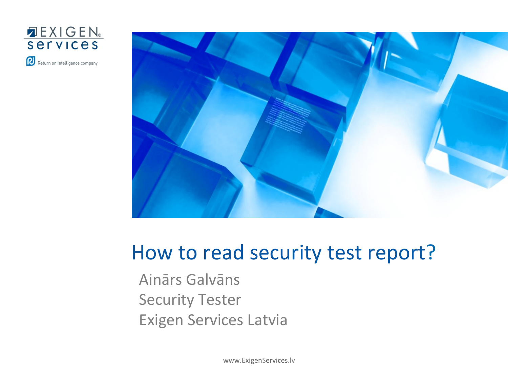



### How to read security test report?

Ainārs Galvāns **Security Tester** Exigen Services Latvia

www.ExigenServices.lv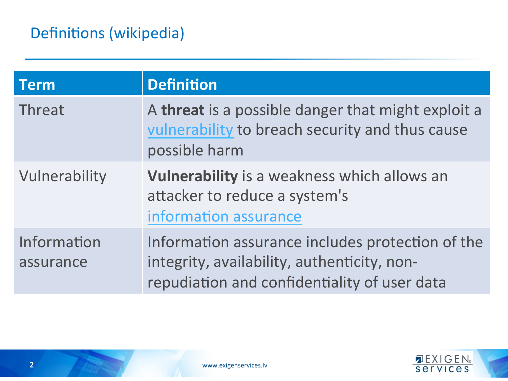| <b>Term</b>              | <b>Definition</b>                                                                                                                               |
|--------------------------|-------------------------------------------------------------------------------------------------------------------------------------------------|
| Threat                   | A threat is a possible danger that might exploit a<br>vulnerability to breach security and thus cause<br>possible harm                          |
| Vulnerability            | <b>Vulnerability</b> is a weakness which allows an<br>attacker to reduce a system's<br>information assurance                                    |
| Information<br>assurance | Information assurance includes protection of the<br>integrity, availability, authenticity, non-<br>repudiation and confidentiality of user data |

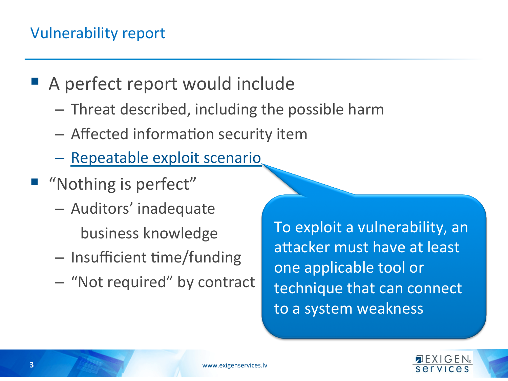- A perfect report would include
	- $-$  Threat described, including the possible harm
	- $-$  Affected information security item
	- $-$  Repeatable exploit scenario
- "Nothing is perfect"
	- Auditors' inadequate
		- business knowledge
	- $-$  Insufficient time/funding
	- $-$  "Not required" by contract

To exploit a vulnerability, an attacker must have at least one applicable tool or technique that can connect to a system weakness

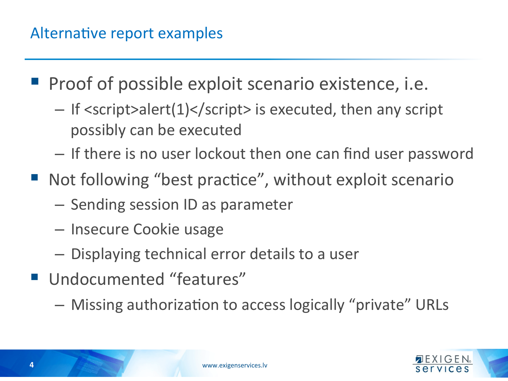- Proof of possible exploit scenario existence, i.e.
	- $-$  If <script>alert(1)</script> is executed, then any script possibly can be executed
	- $-$  If there is no user lockout then one can find user password
- Not following "best practice", without exploit scenario
	- $-$  Sending session ID as parameter
	- $-$  Insecure Cookie usage
	- $-$  Displaying technical error details to a user
- Undocumented "features"
	- $-$  Missing authorization to access logically "private" URLs

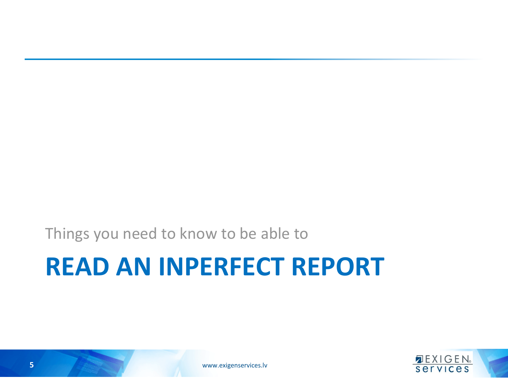Things you need to know to be able to

# **READ AN INPERFECT REPORT**

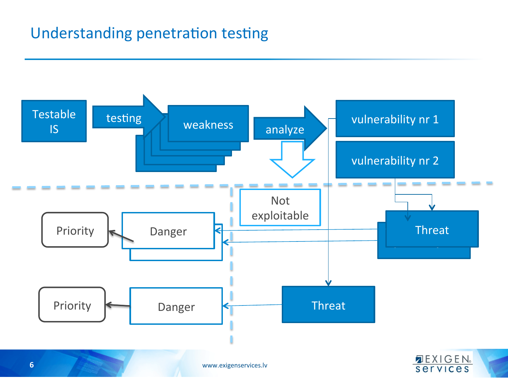### Understanding penetration testing

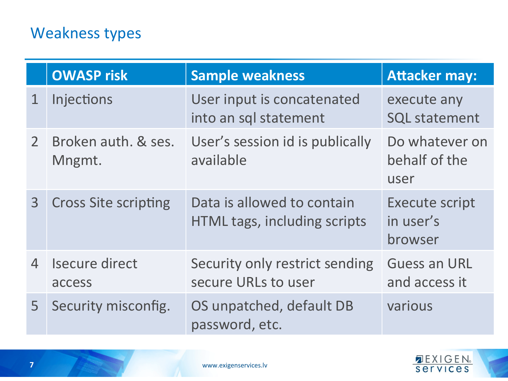### Weakness types

|                | <b>OWASP risk</b>             | <b>Sample weakness</b>                                            | <b>Attacker may:</b>                          |
|----------------|-------------------------------|-------------------------------------------------------------------|-----------------------------------------------|
| $\mathbf 1$    | Injections                    | User input is concatenated<br>into an sql statement               | execute any<br><b>SQL statement</b>           |
| $\overline{2}$ | Broken auth. & ses.<br>Mngmt. | User's session id is publically<br>available                      | Do whatever on<br>behalf of the<br>user       |
| $\mathbf{3}$   | <b>Cross Site scripting</b>   | Data is allowed to contain<br><b>HTML tags, including scripts</b> | <b>Execute script</b><br>in user's<br>browser |
| $\overline{4}$ | Isecure direct<br>access      | Security only restrict sending<br>secure URLs to user             | <b>Guess an URL</b><br>and access it          |
| 5              | Security misconfig.           | OS unpatched, default DB<br>password, etc.                        | various                                       |

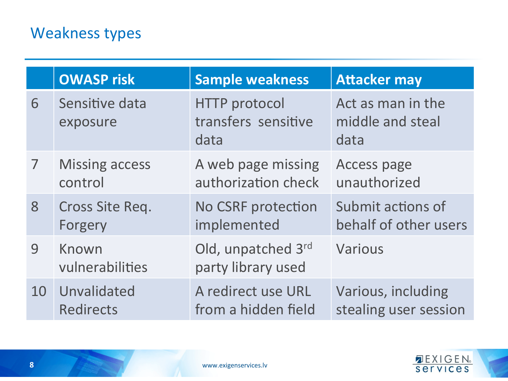### Weakness types

|                | <b>OWASP</b> risk          | <b>Sample weakness</b>                              | <b>Attacker may</b>                           |
|----------------|----------------------------|-----------------------------------------------------|-----------------------------------------------|
| 6              | Sensitive data<br>exposure | <b>HTTP</b> protocol<br>transfers sensitive<br>data | Act as man in the<br>middle and steal<br>data |
| $\overline{7}$ | <b>Missing access</b>      | A web page missing                                  | Access page                                   |
|                | control                    | authorization check                                 | unauthorized                                  |
| 8              | Cross Site Req.            | <b>No CSRF protection</b>                           | Submit actions of                             |
|                | Forgery                    | implemented                                         | behalf of other users                         |
| 9              | Known<br>vulnerabilities   | Old, unpatched 3rd<br>party library used            | Various                                       |
| 10             | Unvalidated                | A redirect use URL                                  | Various, including                            |
|                | <b>Redirects</b>           | from a hidden field                                 | stealing user session                         |

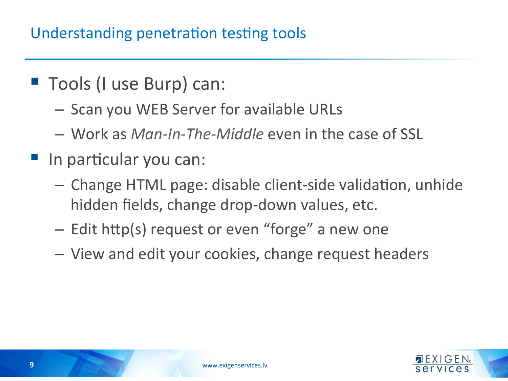Understanding penetration testing tools

- Tools (I use Burp) can:
	- $-$  Scan you WEB Server for available URLs
	- Work as *Man-In-The-Middle* even in the case of SSL
- In particular you can:
	- $-$  Change HTML page: disable client-side validation, unhide hidden fields, change drop-down values, etc.
	- $-$  Edit http(s) request or even "forge" a new one
	- $-$  View and edit your cookies, change request headers

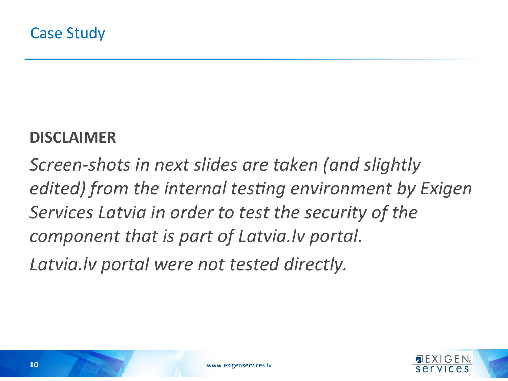### **DISCLAIMER**

*Screen-shots in next slides are taken (and slightly edited)* from the internal testing environment by Exigen Services Latvia in order to test the security of the *component that is part of Latvia.lv portal.* Latvia. *Iv* portal were not tested directly.

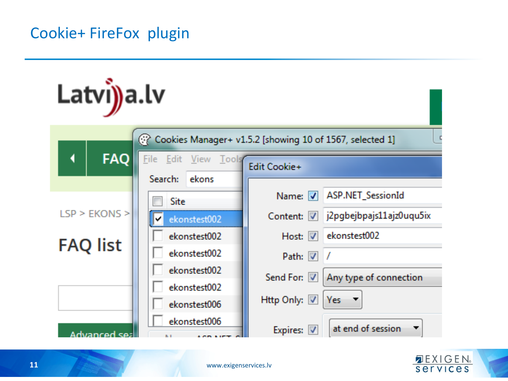### Cookie+ FireFox plugin

| Latvi)a.lv      |                                                          |                                       |  |  |  |  |  |
|-----------------|----------------------------------------------------------|---------------------------------------|--|--|--|--|--|
|                 | Cookies Manager+ v1.5.2 [showing 10 of 1567, selected 1] |                                       |  |  |  |  |  |
| <b>FAQ</b>      | File Edit View Tools                                     | Edit Cookie+                          |  |  |  |  |  |
|                 | Search:<br>l ekons                                       |                                       |  |  |  |  |  |
|                 | Site                                                     | Name: 7 ASP.NET_SessionId             |  |  |  |  |  |
| LSP > EKONS >   | ekonstest002                                             | Content: 7   j2pgbejbpajs11ajz0uqu5ix |  |  |  |  |  |
|                 | ekonstest002                                             | Host: <b>V</b> ekonstest002           |  |  |  |  |  |
| <b>FAQ list</b> | ekonstest002                                             | Path: $\nabla$                        |  |  |  |  |  |
|                 | ekonstest002                                             | Send For: V<br>Any type of connection |  |  |  |  |  |
|                 | ekonstest002                                             |                                       |  |  |  |  |  |
|                 | ekonstest006                                             | Http Only: ☑<br>Yes                   |  |  |  |  |  |
| sez benneddad   | ekonstest006                                             | at end of session<br>Expires: V       |  |  |  |  |  |

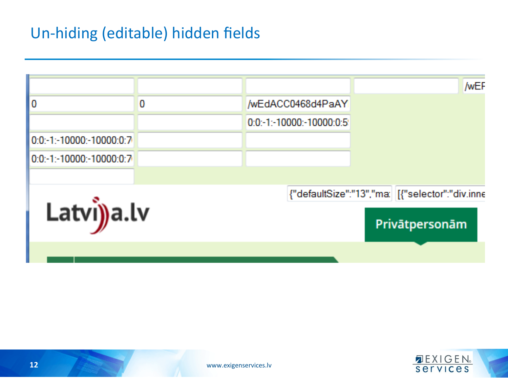### Un-hiding (editable) hidden fields



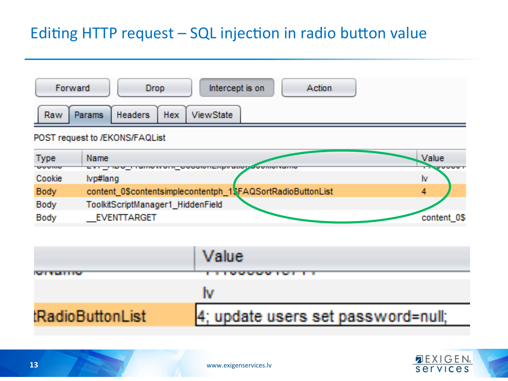### Editing HTTP request - SQL injection in radio button value





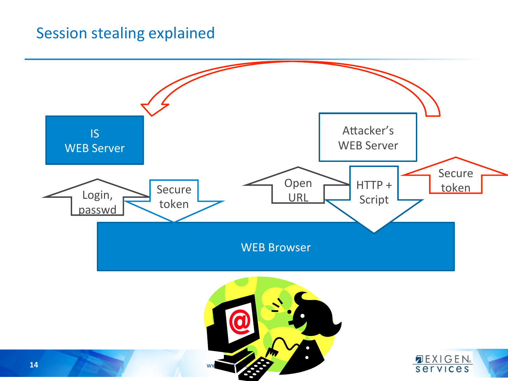#### Session stealing explained



**DEXIGEN**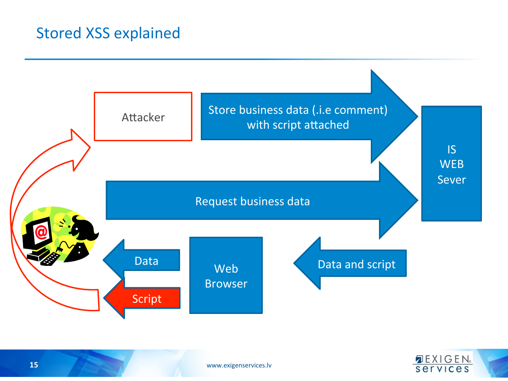

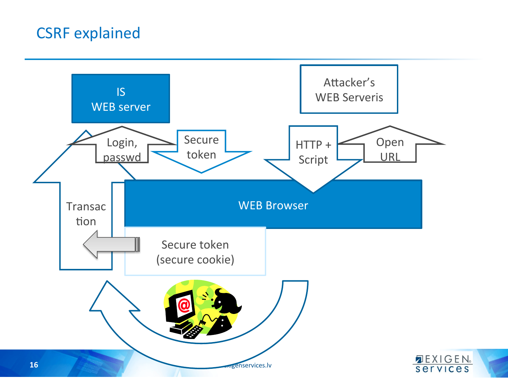### **CSRF** explained

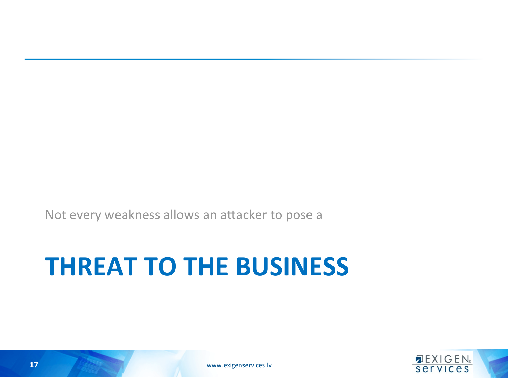Not every weakness allows an attacker to pose a

## **THREAT TO THE BUSINESS**

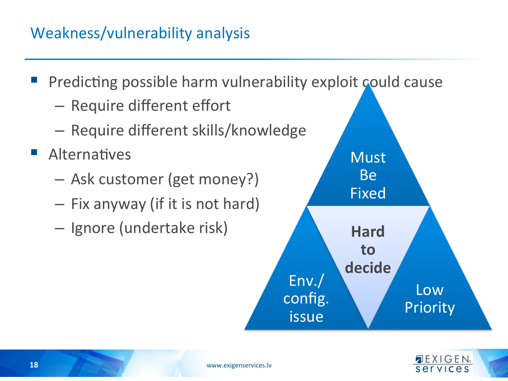### Weakness/vulnerability analysis

- Predicting possible harm vulnerability exploit could cause
	- $-$  Require different effort
	- Require different skills/knowledge
- Alternatives
	- Ask customer (get money?)
	- $-$  Fix anyway (if it is not hard)
	- Ignore (undertake risk)



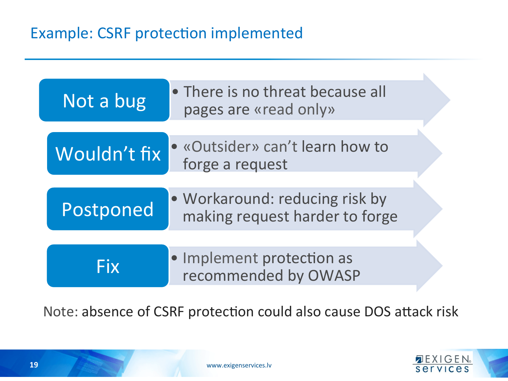| Not a bug    | • There is no threat because all<br>pages are «read only»        |  |
|--------------|------------------------------------------------------------------|--|
| Wouldn't fix | • «Outsider» can't learn how to<br>forge a request               |  |
| Postponed    | • Workaround: reducing risk by<br>making request harder to forge |  |
| Fix          | • Implement protection as<br>recommended by OWASP                |  |

Note: absence of CSRF protection could also cause DOS attack risk

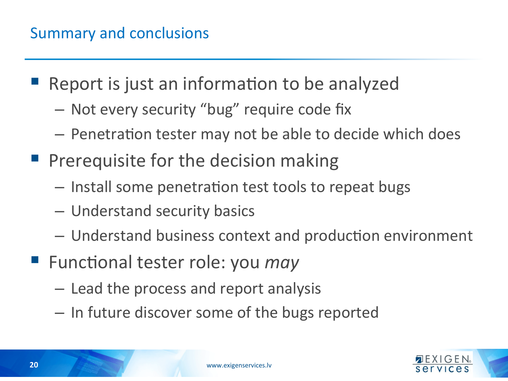- Report is just an information to be analyzed
	- $-$  Not every security "bug" require code fix
	- $-$  Penetration tester may not be able to decide which does
- Prerequisite for the decision making
	- Install some penetration test tools to repeat bugs
	- $-$  Understand security basics
	- $-$  Understand business context and production environment
- Functional tester role: you *may* 
	- $-$  Lead the process and report analysis
	- $-$  In future discover some of the bugs reported

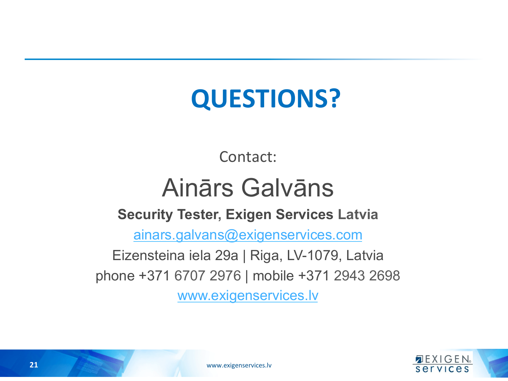## **QUESTIONS?**

### Contact:

### Ainārs Galvāns

#### **Security Tester, Exigen Services Latvia**

ainars.galvans@exigenservices.com

Eizensteina iela 29a | Riga, LV-1079, Latvia

phone +371 6707 2976 | mobile +371 2943 2698

www.exigenservices.lv

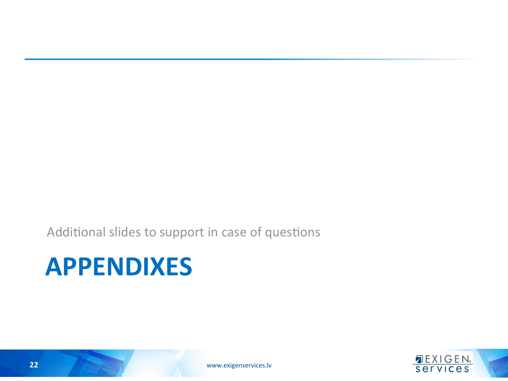Additional slides to support in case of questions

### **APPENDIXES**

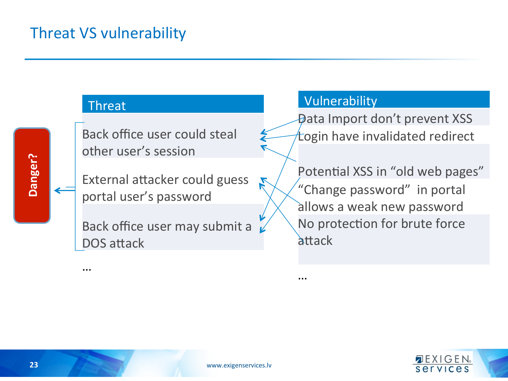#### Threat

… 

Back office user could steal other user's session

External attacker could guess portal user's password

Back office user may submit a DOS attack

#### Vulnerability

… 

Data Import don't prevent XSS togin have invalidated redirect Potential XSS in "old web pages" "Change password" in portal allows a weak new password No protection for brute force attack



**Danger?**